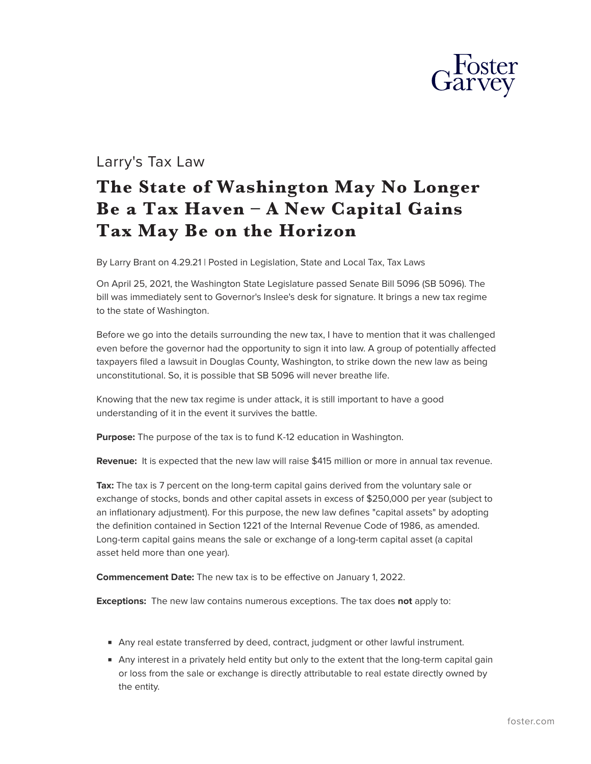

## Larry's Tax Law

## **The State of Washington May No Longer Be a Tax Haven – A New Capital Gains Tax May Be on the Horizon**

By Larry Brant on 4.29.21 | Posted in Legislation, State and Local Tax, Tax Laws

On April 25, 2021, the Washington State Legislature passed Senate Bill 5096 (SB 5096). The bill was immediately sent to Governor's Inslee's desk for signature. It brings a new tax regime to the state of Washington.

Before we go into the details surrounding the new tax, I have to mention that it was challenged even before the governor had the opportunity to sign it into law. A group of potentially affected taxpayers filed a lawsuit in Douglas County, Washington, to strike down the new law as being unconstitutional. So, it is possible that SB 5096 will never breathe life.

Knowing that the new tax regime is under attack, it is still important to have a good understanding of it in the event it survives the battle.

**Purpose:** The purpose of the tax is to fund K-12 education in Washington.

**Revenue:** It is expected that the new law will raise \$415 million or more in annual tax revenue.

Tax: The tax is 7 percent on the long-term capital gains derived from the voluntary sale or exchange of stocks, bonds and other capital assets in excess of \$250,000 per year (subject to an inflationary adjustment). For this purpose, the new law defines "capital assets" by adopting the definition contained in Section 1221 of the Internal Revenue Code of 1986, as amended. Long-term capital gains means the sale or exchange of a long-term capital asset (a capital asset held more than one year).

**Commencement Date:** The new tax is to be effective on January 1, 2022.

**Exceptions:** The new law contains numerous exceptions. The tax does **not** apply to:

- Any real estate transferred by deed, contract, judgment or other lawful instrument.
- Any interest in a privately held entity but only to the extent that the long-term capital gain or loss from the sale or exchange is directly attributable to real estate directly owned by the entity.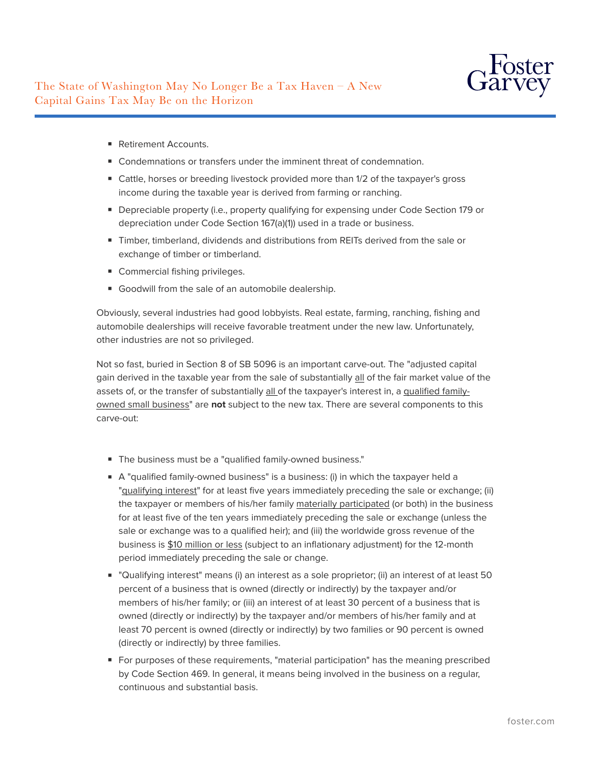

- Retirement Accounts.
- Condemnations or transfers under the imminent threat of condemnation.
- Cattle, horses or breeding livestock provided more than 1/2 of the taxpayer's gross income during the taxable year is derived from farming or ranching.
- Depreciable property (i.e., property qualifying for expensing under Code Section 179 or depreciation under Code Section 167(a)(1)) used in a trade or business.
- Timber, timberland, dividends and distributions from REITs derived from the sale or exchange of timber or timberland.
- Commercial fishing privileges.
- Goodwill from the sale of an automobile dealership.

Obviously, several industries had good lobbyists. Real estate, farming, ranching, fishing and automobile dealerships will receive favorable treatment under the new law. Unfortunately, other industries are not so privileged.

Not so fast, buried in Section 8 of SB 5096 is an important carve-out. The "adjusted capital gain derived in the taxable year from the sale of substantially all of the fair market value of the assets of, or the transfer of substantially all of the taxpayer's interest in, a qualified familyowned small business" are **not** subject to the new tax. There are several components to this carve-out:

- The business must be a "qualified family-owned business."
- A "qualified family-owned business" is a business: (i) in which the taxpayer held a "qualifying interest" for at least five years immediately preceding the sale or exchange; (ii) the taxpayer or members of his/her family materially participated (or both) in the business for at least five of the ten years immediately preceding the sale or exchange (unless the sale or exchange was to a qualified heir); and (iii) the worldwide gross revenue of the business is \$10 million or less (subject to an inflationary adjustment) for the 12-month period immediately preceding the sale or change.
- "Qualifying interest" means (i) an interest as a sole proprietor; (ii) an interest of at least 50 percent of a business that is owned (directly or indirectly) by the taxpayer and/or members of his/her family; or (iii) an interest of at least 30 percent of a business that is owned (directly or indirectly) by the taxpayer and/or members of his/her family and at least 70 percent is owned (directly or indirectly) by two families or 90 percent is owned (directly or indirectly) by three families.
- For purposes of these requirements, "material participation" has the meaning prescribed by Code Section 469. In general, it means being involved in the business on a regular, continuous and substantial basis.